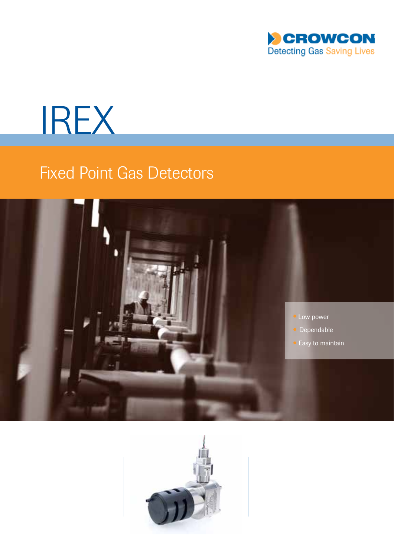

# IREX

# Fixed Point Gas Detectors



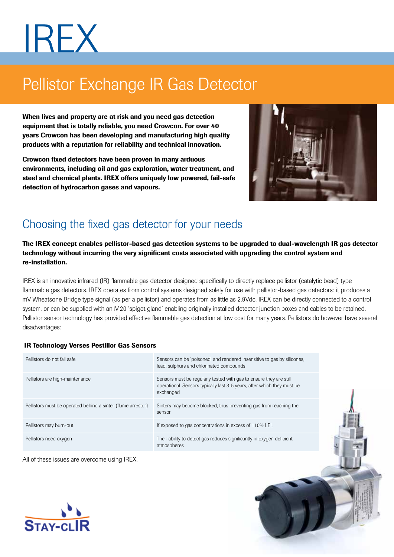# IREX

# Pellistor Exchange IR Gas Detector

When lives and property are at risk and you need gas detection equipment that is totally reliable, you need Crowcon. For over 40 years Crowcon has been developing and manufacturing high quality products with a reputation for reliability and technical innovation.

Crowcon fixed detectors have been proven in many arduous environments, including oil and gas exploration, water treatment, and steel and chemical plants. IREX offers uniquely low powered, fail-safe detection of hydrocarbon gases and vapours.



# Choosing the fixed gas detector for your needs

The IREX concept enables pellistor-based gas detection systems to be upgraded to dual-wavelength IR gas detector technology without incurring the very significant costs associated with upgrading the control system and re-installation.

IREX is an innovative infrared (IR) flammable gas detector designed specifically to directly replace pellistor (catalytic bead) type flammable gas detectors. IREX operates from control systems designed solely for use with pellistor-based gas detectors: it produces a mV Wheatsone Bridge type signal (as per a pellistor) and operates from as little as 2.9Vdc. IREX can be directly connected to a control system, or can be supplied with an M20 'spigot gland' enabling originally installed detector junction boxes and cables to be retained. Pellistor sensor technology has provided effective flammable gas detection at low cost for many years. Pellistors do however have several disadvantages:

# IR Technology Verses Pestillor Gas Sensors

| Pellistors do not fail safe                                  | Sensors can be 'poisoned' and rendered insensitive to gas by silicones,<br>lead, sulphurs and chlorinated compounds                                        |
|--------------------------------------------------------------|------------------------------------------------------------------------------------------------------------------------------------------------------------|
| Pellistors are high-maintenance                              | Sensors must be regularly tested with gas to ensure they are still<br>operational. Sensors typically last 3-5 years, after which they must be<br>exchanged |
| Pellistors must be operated behind a sinter (flame arrestor) | Sinters may become blocked, thus preventing gas from reaching the<br>sensor                                                                                |
| Pellistors may burn-out                                      | If exposed to gas concentrations in excess of 110% LEL                                                                                                     |
| Pellistors need oxygen                                       | Their ability to detect gas reduces significantly in oxygen deficient<br>atmospheres                                                                       |

All of these issues are overcome using IREX.

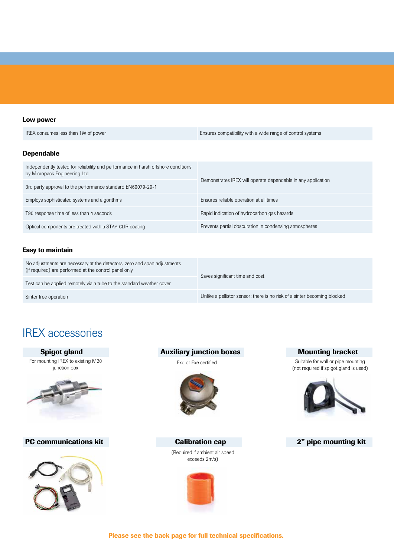# Low power

IREX consumes less than 1W of power **Ensures compatibility with a wide range of control systems** 

# Dependable

| Independently tested for reliability and performance in harsh offshore conditions<br>by Micropack Engineering Ltd | Demonstrates IREX will operate dependable in any application |  |
|-------------------------------------------------------------------------------------------------------------------|--------------------------------------------------------------|--|
| 3rd party approval to the performance standard EN60079-29-1                                                       |                                                              |  |
| Employs sophisticated systems and algorithms                                                                      | Ensures reliable operation at all times                      |  |
| T90 response time of less than 4 seconds                                                                          | Rapid indication of hydrocarbon gas hazards                  |  |
| Optical components are treated with a STAY-CLIR coating                                                           | Prevents partial obscuration in condensing atmospheres       |  |

# Easy to maintain

| No adjustments are necessary at the detectors, zero and span adjustments<br>(if required) are performed at the control panel only | Saves significant time and cost                                          |  |
|-----------------------------------------------------------------------------------------------------------------------------------|--------------------------------------------------------------------------|--|
| Test can be applied remotely via a tube to the standard weather cover                                                             |                                                                          |  |
| Sinter free operation                                                                                                             | Unlike a pellistor sensor: there is no risk of a sinter becoming blocked |  |

# IREX accessories

For mounting IREX to existing M20 junction box



# PC communications kit **Calibration cap 2**" pipe mounting kit



# Spigot gland **Auxiliary junction boxes** Mounting bracket



(Required if ambient air speed exceeds 2m/s)



Exd or Exe certified Suitable for wall or pipe mounting (not required if spigot gland is used)



# Please see the back page for full technical specifications.